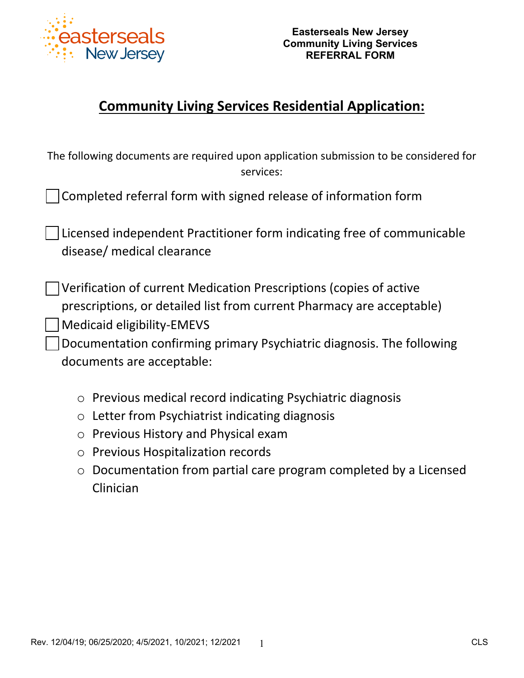

# **Community Living Services Residential Application:**

| The following documents are required upon application submission to be considered for<br>services:                                                                                                                                                                                     |
|----------------------------------------------------------------------------------------------------------------------------------------------------------------------------------------------------------------------------------------------------------------------------------------|
| Completed referral form with signed release of information form                                                                                                                                                                                                                        |
| Licensed independent Practitioner form indicating free of communicable<br>disease/ medical clearance                                                                                                                                                                                   |
| Verification of current Medication Prescriptions (copies of active<br>prescriptions, or detailed list from current Pharmacy are acceptable)<br><b>Medicaid eligibility-EMEVS</b><br>Documentation confirming primary Psychiatric diagnosis. The following<br>documents are acceptable: |
| Previous medical record indicating Psychiatric diagnosis<br>$\bigcirc$                                                                                                                                                                                                                 |
| Letter from Psychiatrist indicating diagnosis<br>$\bigcirc$                                                                                                                                                                                                                            |
| Previous History and Physical exam<br>$\bigcirc$                                                                                                                                                                                                                                       |
| <b>Previous Hospitalization records</b><br>$\bigcirc$                                                                                                                                                                                                                                  |
| Documentation from partial care program completed by a Licensed<br>$\bigcirc$                                                                                                                                                                                                          |
| Clinician                                                                                                                                                                                                                                                                              |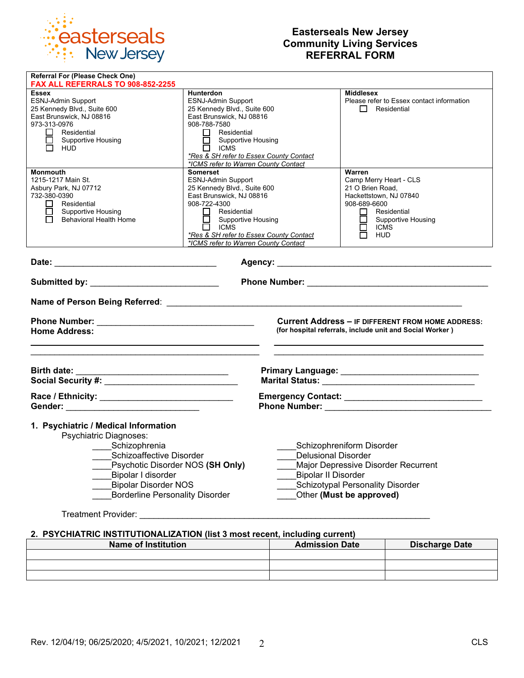

# **Easterseals New Jersey Community Living Services REFERRAL FORM**

| <b>Referral For (Please Check One)</b><br>FAX ALL REFERRALS TO 908-852-2255                                                                                                                                                                                                                                                                                                                                                                                                      |                                                                                                                                                                                                                                                                                |                                                                                                                                                                                              |  |  |  |
|----------------------------------------------------------------------------------------------------------------------------------------------------------------------------------------------------------------------------------------------------------------------------------------------------------------------------------------------------------------------------------------------------------------------------------------------------------------------------------|--------------------------------------------------------------------------------------------------------------------------------------------------------------------------------------------------------------------------------------------------------------------------------|----------------------------------------------------------------------------------------------------------------------------------------------------------------------------------------------|--|--|--|
| <b>Essex</b><br><b>ESNJ-Admin Support</b><br>25 Kennedy Blvd., Suite 600<br>East Brunswick, NJ 08816<br>973-313-0976<br>$\Box$ Residential<br><b>Supportive Housing</b><br>N HUD                                                                                                                                                                                                                                                                                                 | Hunterdon<br>ESNJ-Admin Support<br>25 Kennedy Blvd., Suite 600<br>East Brunswick, NJ 08816<br>908-788-7580<br>$\Box$ Residential<br>Supportive Housing<br>$\Box$ ICMS<br>*Res & SH refer to Essex County Contact<br>*ICMS refer to Warren County Contact                       | Middlesex<br>Please refer to Essex contact information<br>$\Box$ Residential                                                                                                                 |  |  |  |
| <b>Monmouth</b><br>1215-1217 Main St.<br>Asbury Park, NJ 07712<br>732-380-0390<br>$\Box$ Residential<br>$\Box$ Supportive Housing<br><b>Behavioral Health Home</b>                                                                                                                                                                                                                                                                                                               | Somerset<br><b>ESNJ-Admin Support</b><br>25 Kennedy Blvd., Suite 600<br>East Brunswick, NJ 08816<br>908-722-4300<br>$\mathsf{L}$<br>Residential<br>$\Box$ Supportive Housing<br>$\Box$ ICMS<br>*Res & SH refer to Essex County Contact<br>*ICMS refer to Warren County Contact | Warren<br>Camp Merry Heart - CLS<br>21 O Brien Road,<br>Hackettstown, NJ 07840<br>908-689-6600<br>Residential<br>ш<br>$\Box$<br><b>Supportive Housing</b><br><b>ICMS</b><br>п<br><b>HUD</b>  |  |  |  |
|                                                                                                                                                                                                                                                                                                                                                                                                                                                                                  |                                                                                                                                                                                                                                                                                |                                                                                                                                                                                              |  |  |  |
| Submitted by: _____________________________                                                                                                                                                                                                                                                                                                                                                                                                                                      |                                                                                                                                                                                                                                                                                |                                                                                                                                                                                              |  |  |  |
|                                                                                                                                                                                                                                                                                                                                                                                                                                                                                  |                                                                                                                                                                                                                                                                                |                                                                                                                                                                                              |  |  |  |
| <b>Home Address:</b>                                                                                                                                                                                                                                                                                                                                                                                                                                                             |                                                                                                                                                                                                                                                                                | <b>Current Address - IF DIFFERENT FROM HOME ADDRESS:</b><br>(for hospital referrals, include unit and Social Worker)                                                                         |  |  |  |
|                                                                                                                                                                                                                                                                                                                                                                                                                                                                                  |                                                                                                                                                                                                                                                                                |                                                                                                                                                                                              |  |  |  |
|                                                                                                                                                                                                                                                                                                                                                                                                                                                                                  |                                                                                                                                                                                                                                                                                |                                                                                                                                                                                              |  |  |  |
| 1. Psychiatric / Medical Information<br>Psychiatric Diagnoses:<br>Schizophrenia<br>Schizoaffective Disorder<br>Psychotic Disorder NOS (SH Only)<br>Bipolar I disorder<br><b>Bipolar Disorder NOS</b><br><b>Borderline Personality Disorder</b><br>Treatment Provider: New York Changes and Changes and Changes and Changes and Changes and Changes and Changes and Changes and Changes and Changes and Changes and Changes and Changes and Changes and Changes and Changes and C |                                                                                                                                                                                                                                                                                | Schizophreniform Disorder<br>Delusional Disorder<br>Major Depressive Disorder Recurrent<br><b>Bipolar II Disorder</b><br><b>Schizotypal Personality Disorder</b><br>Other (Must be approved) |  |  |  |

### **2. PSYCHIATRIC INSTITUTIONALIZATION (list 3 most recent, including current)**

| <b>Name of Institution</b> | <b>Admission Date</b> | <b>Discharge Date</b> |
|----------------------------|-----------------------|-----------------------|
|                            |                       |                       |
|                            |                       |                       |
|                            |                       |                       |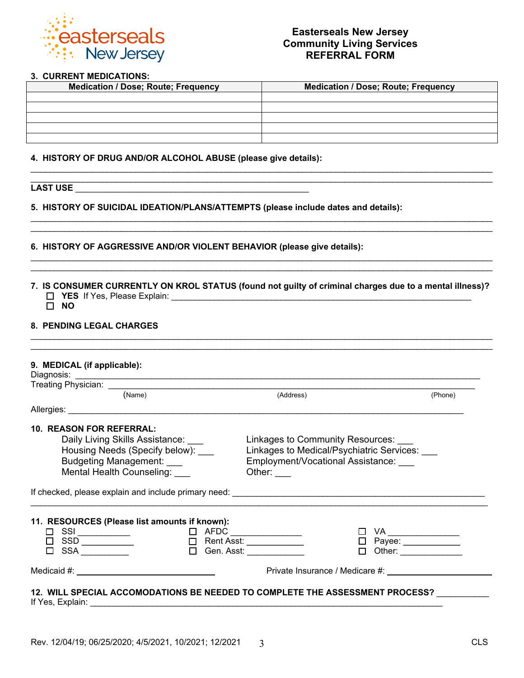

#### **3. CURRENT MEDICATIONS:**

| <b>Medication / Dose; Route; Frequency</b> | <b>Medication / Dose; Route; Frequency</b> |
|--------------------------------------------|--------------------------------------------|
|                                            |                                            |
|                                            |                                            |
|                                            |                                            |
|                                            |                                            |
|                                            |                                            |

\_\_\_\_\_\_\_\_\_\_\_\_\_\_\_\_\_\_\_\_\_\_\_\_\_\_\_\_\_\_\_\_\_\_\_\_\_\_\_\_\_\_\_\_\_\_\_\_\_\_\_\_\_\_\_\_\_\_\_\_\_\_\_\_\_\_\_\_\_\_\_\_\_\_\_\_\_\_\_\_\_\_\_\_\_\_\_\_\_\_\_\_\_\_\_\_\_

\_\_\_\_\_\_\_\_\_\_\_\_\_\_\_\_\_\_\_\_\_\_\_\_\_\_\_\_\_\_\_\_\_\_\_\_\_\_\_\_\_\_\_\_\_\_\_\_\_\_\_\_\_\_\_\_\_\_\_\_\_\_\_\_\_\_\_\_\_\_\_\_\_\_\_\_\_\_\_\_\_\_\_\_\_\_\_\_\_\_\_\_\_\_\_\_\_ \_\_\_\_\_\_\_\_\_\_\_\_\_\_\_\_\_\_\_\_\_\_\_\_\_\_\_\_\_\_\_\_\_\_\_\_\_\_\_\_\_\_\_\_\_\_\_\_\_\_\_\_\_\_\_\_\_\_\_\_\_\_\_\_\_\_\_\_\_\_\_\_\_\_\_\_\_\_\_\_\_\_\_\_\_\_\_\_\_\_\_\_\_\_\_\_\_

\_\_\_\_\_\_\_\_\_\_\_\_\_\_\_\_\_\_\_\_\_\_\_\_\_\_\_\_\_\_\_\_\_\_\_\_\_\_\_\_\_\_\_\_\_\_\_\_\_\_\_\_\_\_\_\_\_\_\_\_\_\_\_\_\_\_\_\_\_\_\_\_\_\_\_\_\_\_\_\_\_\_\_\_\_\_\_\_\_\_\_\_\_\_\_\_\_ \_\_\_\_\_\_\_\_\_\_\_\_\_\_\_\_\_\_\_\_\_\_\_\_\_\_\_\_\_\_\_\_\_\_\_\_\_\_\_\_\_\_\_\_\_\_\_\_\_\_\_\_\_\_\_\_\_\_\_\_\_\_\_\_\_\_\_\_\_\_\_\_\_\_\_\_\_\_\_\_\_\_\_\_\_\_\_\_\_\_\_\_\_\_\_\_\_

**4. HISTORY OF DRUG AND/OR ALCOHOL ABUSE (please give details):** 

# **LAST USE** \_\_\_\_\_\_\_\_\_\_\_\_\_\_\_\_\_\_\_\_\_\_\_\_\_\_\_\_\_\_\_\_\_\_\_\_\_\_\_\_\_\_\_\_\_\_\_\_\_

**5. HISTORY OF SUICIDAL IDEATION/PLANS/ATTEMPTS (please include dates and details):** 

#### **6. HISTORY OF AGGRESSIVE AND/OR VIOLENT BEHAVIOR (please give details):**

**7. IS CONSUMER CURRENTLY ON KROL STATUS (found not guilty of criminal charges due to a mental illness)? YES** If Yes, Please Explain: \_\_\_\_\_\_\_\_\_\_\_\_\_\_\_\_\_\_\_\_\_\_\_\_\_\_\_\_\_\_\_\_\_\_\_\_\_\_\_\_\_\_\_\_\_\_\_\_\_\_\_\_\_\_\_\_\_\_\_\_\_\_\_

\_\_\_\_\_\_\_\_\_\_\_\_\_\_\_\_\_\_\_\_\_\_\_\_\_\_\_\_\_\_\_\_\_\_\_\_\_\_\_\_\_\_\_\_\_\_\_\_\_\_\_\_\_\_\_\_\_\_\_\_\_\_\_\_\_\_\_\_\_\_\_\_\_\_\_\_\_\_\_\_\_\_\_\_\_\_\_\_\_\_\_\_\_\_\_\_\_

**NO**

### **8. PENDING LEGAL CHARGES**

| (Name)                                                                                                                                                                                                                                                                                                                                                                                                     |  | (Address)                                     | (Phone) |
|------------------------------------------------------------------------------------------------------------------------------------------------------------------------------------------------------------------------------------------------------------------------------------------------------------------------------------------------------------------------------------------------------------|--|-----------------------------------------------|---------|
| Allergies: Allergies:                                                                                                                                                                                                                                                                                                                                                                                      |  |                                               |         |
| <b>10. REASON FOR REFERRAL:</b>                                                                                                                                                                                                                                                                                                                                                                            |  |                                               |         |
| Daily Living Skills Assistance:                                                                                                                                                                                                                                                                                                                                                                            |  | Linkages to Community Resources: ___          |         |
| Housing Needs (Specify below):                                                                                                                                                                                                                                                                                                                                                                             |  | Linkages to Medical/Psychiatric Services: ___ |         |
| <b>Budgeting Management:</b>                                                                                                                                                                                                                                                                                                                                                                               |  | Employment/Vocational Assistance:             |         |
| Mental Health Counseling:                                                                                                                                                                                                                                                                                                                                                                                  |  | Other: $\frac{1}{1}$                          |         |
|                                                                                                                                                                                                                                                                                                                                                                                                            |  |                                               |         |
|                                                                                                                                                                                                                                                                                                                                                                                                            |  |                                               |         |
| 11. RESOURCES (Please list amounts if known):                                                                                                                                                                                                                                                                                                                                                              |  |                                               |         |
|                                                                                                                                                                                                                                                                                                                                                                                                            |  |                                               | VA      |
|                                                                                                                                                                                                                                                                                                                                                                                                            |  |                                               |         |
| $\begin{array}{c c c c c c} \hline \text{CSI} & \text{CSI} & \text{I} & \text{AFDC} & \text{I} & \text{AFDC} & \text{I} & \text{Rent Asst:} \\\hline \text{I} & \text{SSD} & \text{I} & \text{I} & \text{A.} & \text{A.} & \text{A.} & \text{A.} & \text{A.} & \text{A.} & \text{A.} & \text{A.} & \text{A.} & \text{A.} & \text{A.} & \text{A.} & \text{A.} & \text{A.} & \text{A.} & \text{A.} & \text{$ |  | □ Payee: ___________                          |         |
| $\square$ SSA $\square$                                                                                                                                                                                                                                                                                                                                                                                    |  | $\Box$ Gen. Asst:                             |         |

If Yes, Explain: \_\_\_\_\_\_\_\_\_\_\_\_\_\_\_\_\_\_\_\_\_\_\_\_\_\_\_\_\_\_\_\_\_\_\_\_\_\_\_\_\_\_\_\_\_\_\_\_\_\_\_\_\_\_\_\_\_\_\_\_\_\_\_\_\_\_\_\_\_\_\_\_\_\_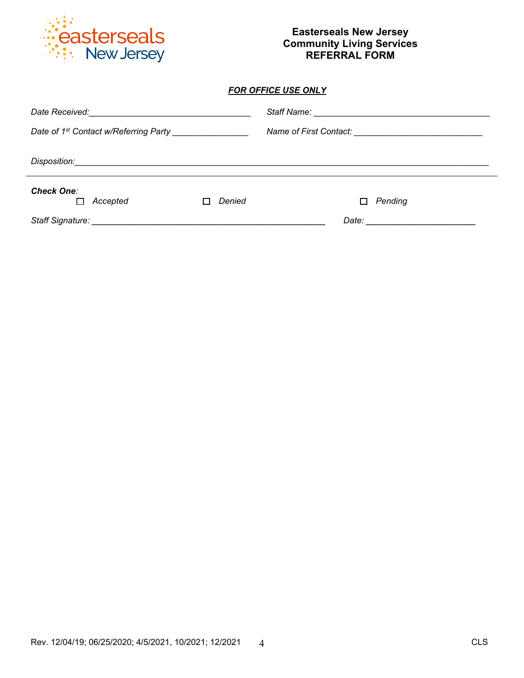

# **Easterseals New Jersey Community Living Services REFERRAL FORM**

### *FOR OFFICE USE ONLY*

| <b>Check One:</b><br>Accepted | Denied | Pending<br>П |  |
|-------------------------------|--------|--------------|--|
|                               |        |              |  |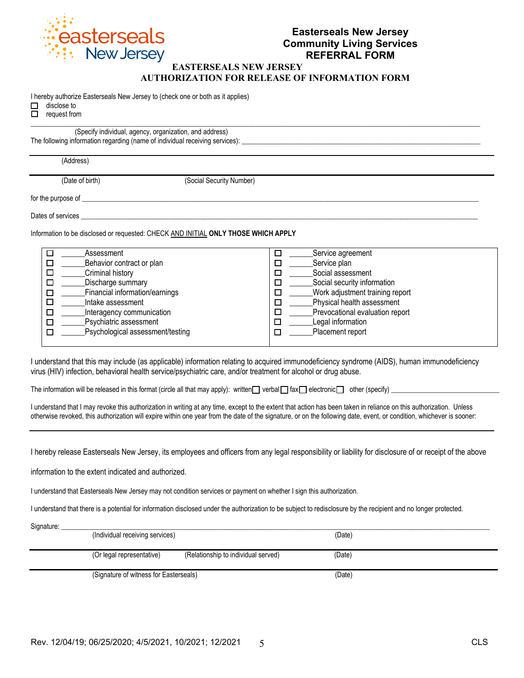

### **EASTERSEALS NEW JERSEY AUTHORIZATION FOR RELEASE OF INFORMATION FORM**

 $\mathcal{L}_\mathcal{L} = \{ \mathcal{L}_\mathcal{L} = \{ \mathcal{L}_\mathcal{L} = \{ \mathcal{L}_\mathcal{L} = \{ \mathcal{L}_\mathcal{L} = \{ \mathcal{L}_\mathcal{L} = \{ \mathcal{L}_\mathcal{L} = \{ \mathcal{L}_\mathcal{L} = \{ \mathcal{L}_\mathcal{L} = \{ \mathcal{L}_\mathcal{L} = \{ \mathcal{L}_\mathcal{L} = \{ \mathcal{L}_\mathcal{L} = \{ \mathcal{L}_\mathcal{L} = \{ \mathcal{L}_\mathcal{L} = \{ \mathcal{L}_\mathcal{$ 

I hereby authorize Easterseals New Jersey to (check one or both as it applies)

| disclose to |  |
|-------------|--|
|             |  |

 $\Box$  request from

(Specify individual, agency, organization, and address) The following information regarding (name of individual receiving services): \_

(Address)

(Date of birth) (Social Security Number)

for the purpose of \_\_\_\_

Dates of services

Information to be disclosed or requested: CHECK AND INITIAL **ONLY THOSE WHICH APPLY**

| Assessment                       | Service agreement               |
|----------------------------------|---------------------------------|
| Behavior contract or plan        | Service plan                    |
| Criminal history                 | Social assessment               |
| Discharge summary                | Social security information     |
| Financial information/earnings   | Work adjustment training report |
| Intake assessment                | Physical health assessment      |
| Interagency communication        | Prevocational evaluation report |
| Psychiatric assessment           | Legal information               |
| Psychological assessment/testing | Placement report                |
|                                  |                                 |

I understand that this may include (as applicable) information relating to acquired immunodeficiency syndrome (AIDS), human immunodeficiency virus (HIV) infection, behavioral health service/psychiatric care, and/or treatment for alcohol or drug abuse.

The information will be released in this format (circle all that may apply): written verbal  $\Box$  fax  $\Box$  electronic  $\Box$  other (specify)  $\Box$ 

I understand that I may revoke this authorization in writing at any time, except to the extent that action has been taken in reliance on this authorization. Unless otherwise revoked, this authorization will expire within one year from the date of the signature, or on the following date, event, or condition, whichever is sooner:

I hereby release Easterseals New Jersey, its employees and officers from any legal responsibility or liability for disclosure of or receipt of the above

information to the extent indicated and authorized.

I understand that Easterseals New Jersey may not condition services or payment on whether I sign this authorization.

I understand that there is a potential for information disclosed under the authorization to be subject to redisclosure by the recipient and no longer protected.

| Signature: | (Individual receiving services)        |                                     | (Date) |  |
|------------|----------------------------------------|-------------------------------------|--------|--|
|            | (Or legal representative)              | (Relationship to individual served) | (Date) |  |
|            | (Signature of witness for Easterseals) |                                     | (Date) |  |